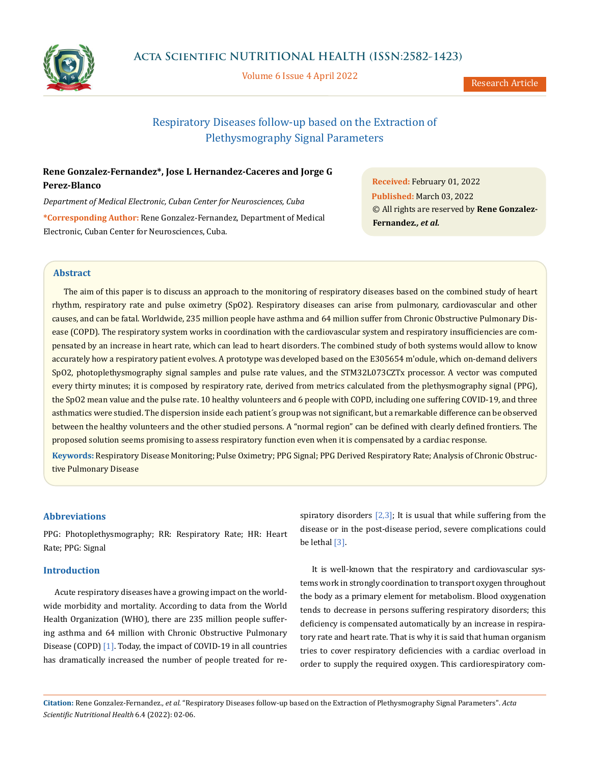

Volume 6 Issue 4 April 2022

Research Article

# Respiratory Diseases follow-up based on the Extraction of Plethysmography Signal Parameters

# **Rene Gonzalez-Fernandez\*, Jose L Hernandez-Caceres and Jorge G Perez-Blanco**

*Department of Medical Electronic, Cuban Center for Neurosciences, Cuba* **\*Corresponding Author:** Rene Gonzalez-Fernandez, Department of Medical Electronic, Cuban Center for Neurosciences, Cuba.

**Received:** February 01, 2022 **Published:** March 03, 2022 © All rights are reserved by **Rene Gonzalez-Fernandez***., et al.*

# **Abstract**

The aim of this paper is to discuss an approach to the monitoring of respiratory diseases based on the combined study of heart rhythm, respiratory rate and pulse oximetry (SpO2). Respiratory diseases can arise from pulmonary, cardiovascular and other causes, and can be fatal. Worldwide, 235 million people have asthma and 64 million suffer from Chronic Obstructive Pulmonary Disease (COPD). The respiratory system works in coordination with the cardiovascular system and respiratory insufficiencies are compensated by an increase in heart rate, which can lead to heart disorders. The combined study of both systems would allow to know accurately how a respiratory patient evolves. A prototype was developed based on the E305654 m'odule, which on-demand delivers SpO2, photoplethysmography signal samples and pulse rate values, and the STM32L073CZTx processor. A vector was computed every thirty minutes; it is composed by respiratory rate, derived from metrics calculated from the plethysmography signal (PPG), the SpO2 mean value and the pulse rate. 10 healthy volunteers and 6 people with COPD, including one suffering COVID-19, and three asthmatics were studied. The dispersion inside each patient´s group was not significant, but a remarkable difference can be observed between the healthy volunteers and the other studied persons. A "normal region" can be defined with clearly defined frontiers. The proposed solution seems promising to assess respiratory function even when it is compensated by a cardiac response.

**Keywords:** Respiratory Disease Monitoring; Pulse Oximetry; PPG Signal; PPG Derived Respiratory Rate; Analysis of Chronic Obstructive Pulmonary Disease

# **Abbreviations**

PPG: Photoplethysmography; RR: Respiratory Rate; HR: Heart Rate; PPG: Signal

# **Introduction**

Acute respiratory diseases have a growing impact on the worldwide morbidity and mortality. According to data from the World Health Organization (WHO), there are 235 million people suffering asthma and 64 million with Chronic Obstructive Pulmonary Disease (COPD) [1]. Today, the impact of COVID-19 in all countries has dramatically increased the number of people treated for respiratory disorders  $[2,3]$ ; It is usual that while suffering from the disease or in the post-disease period, severe complications could be lethal [3].

It is well-known that the respiratory and cardiovascular systems work in strongly coordination to transport oxygen throughout the body as a primary element for metabolism. Blood oxygenation tends to decrease in persons suffering respiratory disorders; this deficiency is compensated automatically by an increase in respiratory rate and heart rate. That is why it is said that human organism tries to cover respiratory deficiencies with a cardiac overload in order to supply the required oxygen. This cardiorespiratory com-

**Citation:** Rene Gonzalez-Fernandez*., et al.* "Respiratory Diseases follow-up based on the Extraction of Plethysmography Signal Parameters". *Acta Scientific Nutritional Health* 6.4 (2022): 02-06.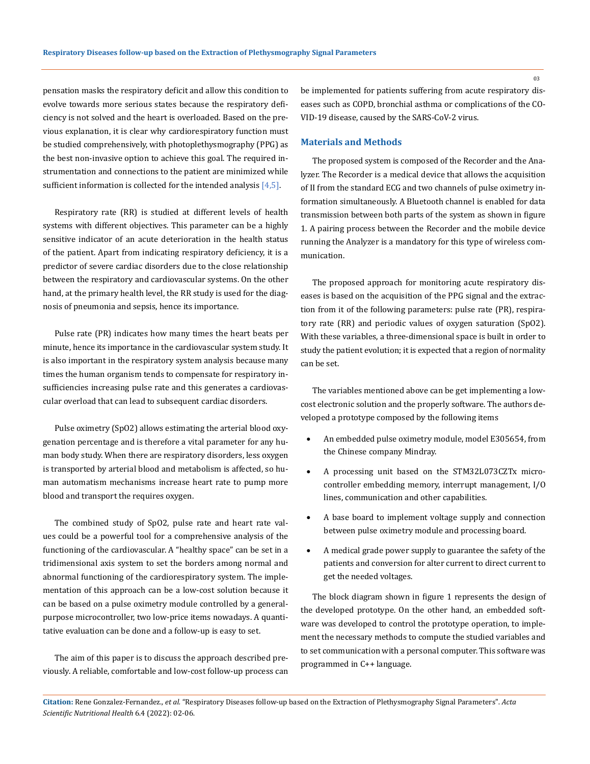pensation masks the respiratory deficit and allow this condition to evolve towards more serious states because the respiratory deficiency is not solved and the heart is overloaded. Based on the previous explanation, it is clear why cardiorespiratory function must be studied comprehensively, with photoplethysmography (PPG) as the best non-invasive option to achieve this goal. The required instrumentation and connections to the patient are minimized while sufficient information is collected for the intended analysis [4,5].

Respiratory rate (RR) is studied at different levels of health systems with different objectives. This parameter can be a highly sensitive indicator of an acute deterioration in the health status of the patient. Apart from indicating respiratory deficiency, it is a predictor of severe cardiac disorders due to the close relationship between the respiratory and cardiovascular systems. On the other hand, at the primary health level, the RR study is used for the diagnosis of pneumonia and sepsis, hence its importance.

Pulse rate (PR) indicates how many times the heart beats per minute, hence its importance in the cardiovascular system study. It is also important in the respiratory system analysis because many times the human organism tends to compensate for respiratory insufficiencies increasing pulse rate and this generates a cardiovascular overload that can lead to subsequent cardiac disorders.

Pulse oximetry (SpO2) allows estimating the arterial blood oxygenation percentage and is therefore a vital parameter for any human body study. When there are respiratory disorders, less oxygen is transported by arterial blood and metabolism is affected, so human automatism mechanisms increase heart rate to pump more blood and transport the requires oxygen.

The combined study of SpO2, pulse rate and heart rate values could be a powerful tool for a comprehensive analysis of the functioning of the cardiovascular. A "healthy space" can be set in a tridimensional axis system to set the borders among normal and abnormal functioning of the cardiorespiratory system. The implementation of this approach can be a low-cost solution because it can be based on a pulse oximetry module controlled by a generalpurpose microcontroller, two low-price items nowadays. A quantitative evaluation can be done and a follow-up is easy to set.

The aim of this paper is to discuss the approach described previously. A reliable, comfortable and low-cost follow-up process can be implemented for patients suffering from acute respiratory diseases such as COPD, bronchial asthma or complications of the CO-VID-19 disease, caused by the SARS-CoV-2 virus.

#### **Materials and Methods**

The proposed system is composed of the Recorder and the Analyzer. The Recorder is a medical device that allows the acquisition of II from the standard ECG and two channels of pulse oximetry information simultaneously. A Bluetooth channel is enabled for data transmission between both parts of the system as shown in figure 1. A pairing process between the Recorder and the mobile device running the Analyzer is a mandatory for this type of wireless communication.

The proposed approach for monitoring acute respiratory diseases is based on the acquisition of the PPG signal and the extraction from it of the following parameters: pulse rate (PR), respiratory rate (RR) and periodic values of oxygen saturation (SpO2). With these variables, a three-dimensional space is built in order to study the patient evolution; it is expected that a region of normality can be set.

The variables mentioned above can be get implementing a lowcost electronic solution and the properly software. The authors developed a prototype composed by the following items

- An embedded pulse oximetry module, model E305654, from the Chinese company Mindray.
- A processing unit based on the STM32L073CZTx microcontroller embedding memory, interrupt management, I/O lines, communication and other capabilities.
- A base board to implement voltage supply and connection between pulse oximetry module and processing board.
- • A medical grade power supply to guarantee the safety of the patients and conversion for alter current to direct current to get the needed voltages.

The block diagram shown in figure 1 represents the design of the developed prototype. On the other hand, an embedded software was developed to control the prototype operation, to implement the necessary methods to compute the studied variables and to set communication with a personal computer. This software was programmed in C++ language.

03

**Citation:** Rene Gonzalez-Fernandez*., et al.* "Respiratory Diseases follow-up based on the Extraction of Plethysmography Signal Parameters". *Acta Scientific Nutritional Health* 6.4 (2022): 02-06.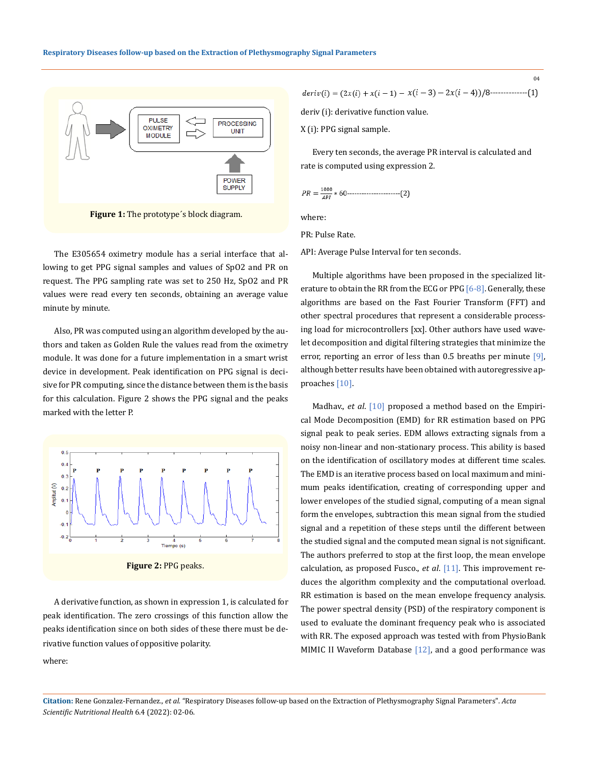

**Figure 1:** The prototype´s block diagram.

The E305654 oximetry module has a serial interface that allowing to get PPG signal samples and values of SpO2 and PR on request. The PPG sampling rate was set to 250 Hz, SpO2 and PR values were read every ten seconds, obtaining an average value minute by minute.

Also, PR was computed using an algorithm developed by the authors and taken as Golden Rule the values read from the oximetry module. It was done for a future implementation in a smart wrist device in development. Peak identification on PPG signal is decisive for PR computing, since the distance between them is the basis for this calculation. Figure 2 shows the PPG signal and the peaks marked with the letter P.



**Figure 2:** PPG peaks.

A derivative function, as shown in expression 1, is calculated for peak identification. The zero crossings of this function allow the peaks identification since on both sides of these there must be derivative function values of oppositive polarity.

$$
deriv(i) = (2x(i) + x(i-1) - x(i-3) - 2x(i-4))/8
$$
........(1)

 $04$ 

deriv (i): derivative function value.

X (i): PPG signal sample.

Every ten seconds, the average PR interval is calculated and rate is computed using expression 2.

$$
PR = \frac{1000}{API} * 60 \dots (2)
$$

where:

PR: Pulse Rate.

API: Average Pulse Interval for ten seconds.

Multiple algorithms have been proposed in the specialized literature to obtain the RR from the ECG or PPG [6-8]. Generally, these algorithms are based on the Fast Fourier Transform (FFT) and other spectral procedures that represent a considerable processing load for microcontrollers [xx]. Other authors have used wavelet decomposition and digital filtering strategies that minimize the error, reporting an error of less than 0.5 breaths per minute [9], although better results have been obtained with autoregressive approaches [10].

Madhav., *et al.* [10] proposed a method based on the Empirical Mode Decomposition (EMD) for RR estimation based on PPG signal peak to peak series. EDM allows extracting signals from a noisy non-linear and non-stationary process. This ability is based on the identification of oscillatory modes at different time scales. The EMD is an iterative process based on local maximum and minimum peaks identification, creating of corresponding upper and lower envelopes of the studied signal, computing of a mean signal form the envelopes, subtraction this mean signal from the studied signal and a repetition of these steps until the different between the studied signal and the computed mean signal is not significant. The authors preferred to stop at the first loop, the mean envelope calculation, as proposed Fusco., *et al*. [11]. This improvement reduces the algorithm complexity and the computational overload. RR estimation is based on the mean envelope frequency analysis. The power spectral density (PSD) of the respiratory component is used to evaluate the dominant frequency peak who is associated with RR. The exposed approach was tested with from PhysioBank MIMIC II Waveform Database [12], and a good performance was

**Citation:** Rene Gonzalez-Fernandez*., et al.* "Respiratory Diseases follow-up based on the Extraction of Plethysmography Signal Parameters". *Acta Scientific Nutritional Health* 6.4 (2022): 02-06.

where: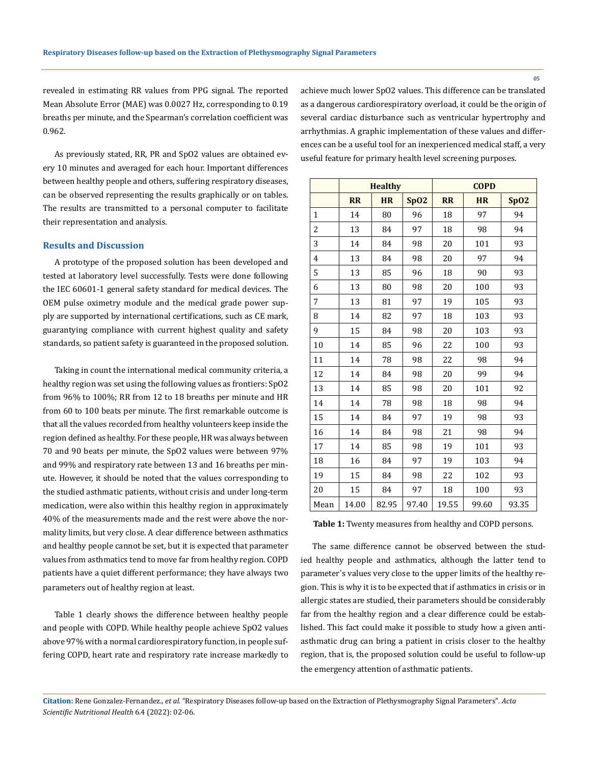revealed in estimating RR values from PPG signal. The reported Mean Absolute Error (MAE) was 0.0027 Hz, corresponding to 0.19 breaths per minute, and the Spearman's correlation coefficient was 0.962.

As previously stated, RR, PR and SpO2 values are obtained every 10 minutes and averaged for each hour. Important differences between healthy people and others, suffering respiratory diseases, can be observed representing the results graphically or on tables. The results are transmitted to a personal computer to facilitate their representation and analysis.

# **Results and Discussion**

A prototype of the proposed solution has been developed and tested at laboratory level successfully. Tests were done following the IEC 60601-1 general safety standard for medical devices. The OEM pulse oximetry module and the medical grade power supply are supported by international certifications, such as CE mark, guarantying compliance with current highest quality and safety standards, so patient safety is guaranteed in the proposed solution.

Taking in count the international medical community criteria, a healthy region was set using the following values as frontiers: SpO2 from 96% to 100%; RR from 12 to 18 breaths per minute and HR from 60 to 100 beats per minute. The first remarkable outcome is that all the values recorded from healthy volunteers keep inside the region defined as healthy. For these people, HR was always between 70 and 90 beats per minute, the SpO2 values were between 97% and 99% and respiratory rate between 13 and 16 breaths per minute. However, it should be noted that the values corresponding to the studied asthmatic patients, without crisis and under long-term medication, were also within this healthy region in approximately 40% of the measurements made and the rest were above the normality limits, but very close. A clear difference between asthmatics and healthy people cannot be set, but it is expected that parameter values from asthmatics tend to move far from healthy region. COPD patients have a quiet different performance; they have always two parameters out of healthy region at least.

Table 1 clearly shows the difference between healthy people and people with COPD. While healthy people achieve SpO2 values above 97% with a normal cardiorespiratory function, in people suffering COPD, heart rate and respiratory rate increase markedly to achieve much lower SpO2 values. This difference can be translated as a dangerous cardiorespiratory overload, it could be the origin of several cardiac disturbance such as ventricular hypertrophy and arrhythmias. A graphic implementation of these values and differences can be a useful tool for an inexperienced medical staff, a very useful feature for primary health level screening purposes.

|                | <b>Healthy</b> |           |       | <b>COPD</b> |           |       |
|----------------|----------------|-----------|-------|-------------|-----------|-------|
|                | <b>RR</b>      | <b>HR</b> | SpO2  | <b>RR</b>   | <b>HR</b> | SpO2  |
| $\mathbf{1}$   | 14             | 80        | 96    | 18          | 97        | 94    |
| $\overline{2}$ | 13             | 84        | 97    | 18          | 98        | 94    |
| 3              | 14             | 84        | 98    | 20          | 101       | 93    |
| 4              | 13             | 84        | 98    | 20          | 97        | 94    |
| 5              | 13             | 85        | 96    | 18          | 90        | 93    |
| 6              | 13             | 80        | 98    | 20          | 100       | 93    |
| 7              | 13             | 81        | 97    | 19          | 105       | 93    |
| 8              | 14             | 82        | 97    | 18          | 103       | 93    |
| 9              | 15             | 84        | 98    | 20          | 103       | 93    |
| 10             | 14             | 85        | 96    | 22          | 100       | 93    |
| 11             | 14             | 78        | 98    | 22          | 98        | 94    |
| 12             | 14             | 84        | 98    | 20          | 99        | 94    |
| 13             | 14             | 85        | 98    | 20          | 101       | 92    |
| 14             | 14             | 78        | 98    | 18          | 98        | 94    |
| 15             | 14             | 84        | 97    | 19          | 98        | 93    |
| 16             | 14             | 84        | 98    | 21          | 98        | 94    |
| 17             | 14             | 85        | 98    | 19          | 101       | 93    |
| 18             | 16             | 84        | 97    | 19          | 103       | 94    |
| 19             | 15             | 84        | 98    | 22          | 102       | 93    |
| 20             | 15             | 84        | 97    | 18          | 100       | 93    |
| Mean           | 14.00          | 82.95     | 97.40 | 19.55       | 99.60     | 93.35 |

**Table 1:** Twenty measures from healthy and COPD persons.

The same difference cannot be observed between the studied healthy people and asthmatics, although the latter tend to parameter´s values very close to the upper limits of the healthy region. This is why it is to be expected that if asthmatics in crisis or in allergic states are studied, their parameters should be considerably far from the healthy region and a clear difference could be established. This fact could make it possible to study how a given antiasthmatic drug can bring a patient in crisis closer to the healthy region, that is, the proposed solution could be useful to follow-up the emergency attention of asthmatic patients.

**Citation:** Rene Gonzalez-Fernandez*., et al.* "Respiratory Diseases follow-up based on the Extraction of Plethysmography Signal Parameters". *Acta Scientific Nutritional Health* 6.4 (2022): 02-06.